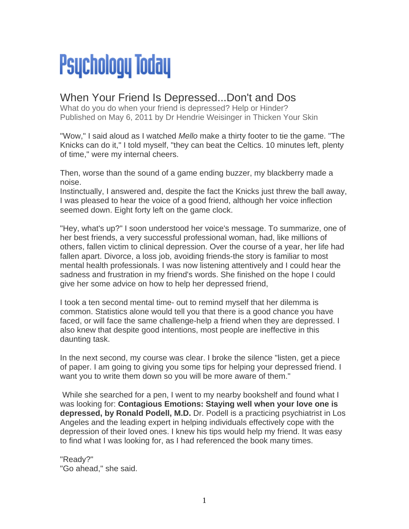## **Psychology Today**

## When Your Friend Is Depressed...Don't and Dos

What do you do when your friend is depressed? Help or Hinder? Published on May 6, 2011 by Dr Hendrie Weisinger in Thicken Your Skin

"Wow," I said aloud as I watched *Mello* make a thirty footer to tie the game. "The Knicks can do it," I told myself, "they can beat the Celtics. 10 minutes left, plenty of time," were my internal cheers.

Then, worse than the sound of a game ending buzzer, my blackberry made a noise.

Instinctually, I answered and, despite the fact the Knicks just threw the ball away, I was pleased to hear the voice of a good friend, although her voice inflection seemed down. Eight forty left on the game clock.

"Hey, what's up?" I soon understood her voice's message. To summarize, one of her best friends, a very successful professional woman, had, like millions of others, fallen victim to clinical depression. Over the course of a year, her life had fallen apart. Divorce, a loss job, avoiding friends-the story is familiar to most mental health professionals. I was now listening attentively and I could hear the sadness and frustration in my friend's words. She finished on the hope I could give her some advice on how to help her depressed friend,

I took a ten second mental time- out to remind myself that her dilemma is common. Statistics alone would tell you that there is a good chance you have faced, or will face the same challenge-help a friend when they are depressed. I also knew that despite good intentions, most people are ineffective in this daunting task.

In the next second, my course was clear. I broke the silence "listen, get a piece of paper. I am going to giving you some tips for helping your depressed friend. I want you to write them down so you will be more aware of them."

 While she searched for a pen, I went to my nearby bookshelf and found what I was looking for: **Contagious Emotions: Staying well when your love one is depressed, by Ronald Podell, M.D.** Dr. Podell is a practicing psychiatrist in Los Angeles and the leading expert in helping individuals effectively cope with the depression of their loved ones. I knew his tips would help my friend. It was easy to find what I was looking for, as I had referenced the book many times.

"Ready?" "Go ahead," she said.